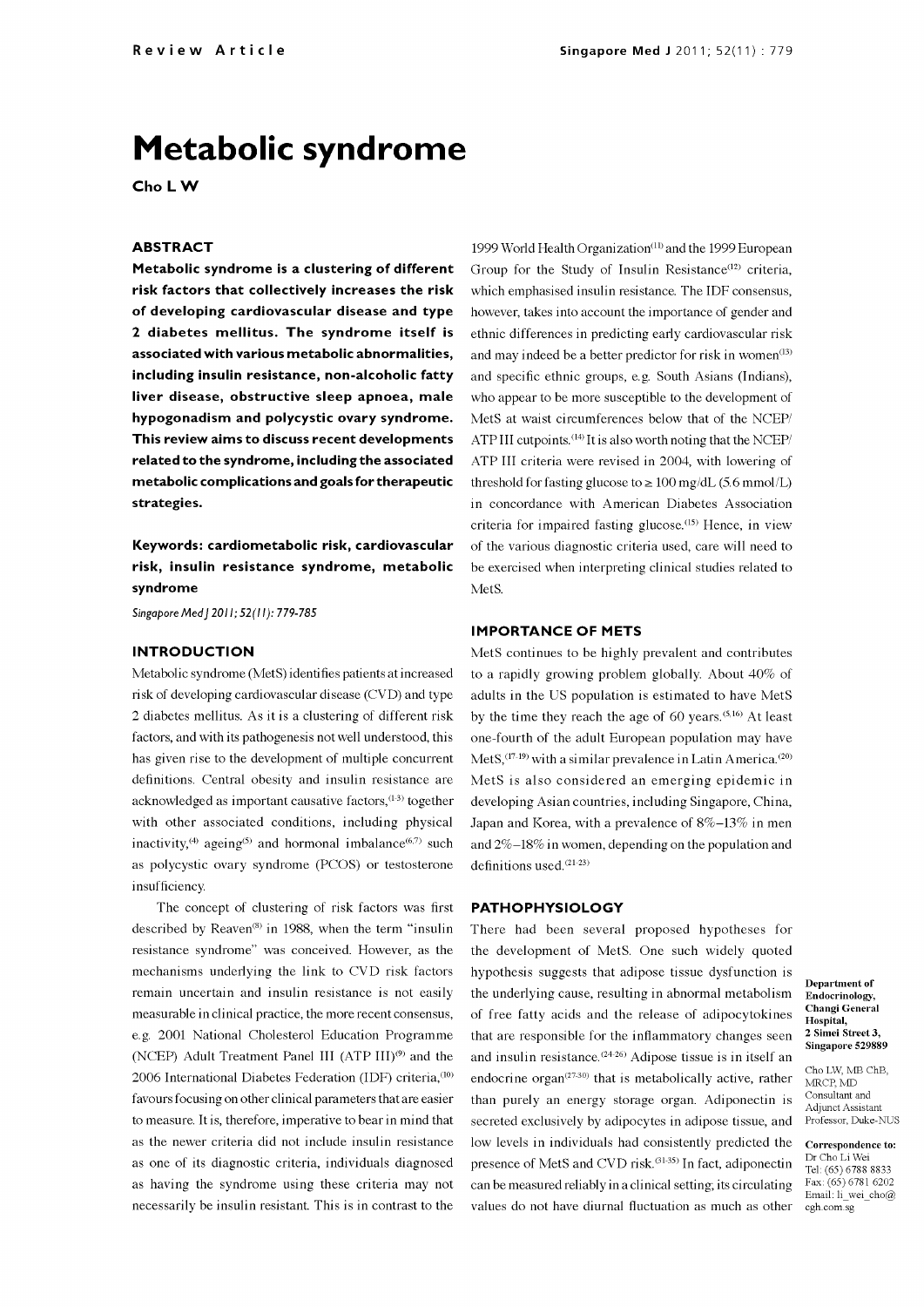# Metabolic syndrome

Cho LW

## ABSTRACT

Metabolic syndrome is a clustering of different risk factors that collectively increases the risk of developing cardiovascular disease and type <sup>2</sup>diabetes mellitus. The syndrome itself is associated with various metabolic abnormalities, including insulin resistance, non-alcoholic fatty liver disease, obstructive sleep apnoea, male hypogonadism and polycystic ovary syndrome. This review aims to discuss recent developments related to the syndrome, including the associated metabolic complications and goals for therapeutic strategies.

Keywords: cardiometabolic risk, cardiovascular risk, insulin resistance syndrome, metabolic syndrome

Singapore Med | 2011; 52(11): 779-785

#### **INTRODUCTION**

Metabolic syndrome (MetS) identifies patients at increased risk of developing cardiovascular disease (CVD) and type 2 diabetes mellitus. As it is a clustering of different risk factors, and with its pathogenesis not well understood, this has given rise to the development of multiple concurrent definitions. Central obesity and insulin resistance are acknowledged as important causative factors, $(1-3)$  together with other associated conditions, including physical Japan and Korea, with a prevalence of 8%–13% in men inactivity,<sup>(4)</sup> ageing<sup>(5)</sup> and hormonal imbalance<sup>(6,7)</sup> such as polycystic ovary syndrome (PCOS) or testosterone insufficiency.

The concept of clustering of risk factors was first described by Reaven<sup>(8)</sup> in 1988, when the term "insulin resistance syndrome" was conceived. However, as the mechanisms underlying the link to CVD risk factors remain uncertain and insulin resistance is not easily measurable in clinical practice, the more recent consensus, e.g. 2001 National Cholesterol Education Programme that are responsible for the inflammatory changes seen (NCEP) Adult Treatment Panel III (ATP III)<sup>(9)</sup> and the 2006 International Diabetes Federation (IDF) criteria,<sup>(10)</sup> favours focusing on other clinical parameters that are easier to measure. It is, therefore, imperative to bear in mind that as the newer criteria did not include insulin resistance as one of its diagnostic criteria, individuals diagnosed as having the syndrome using these criteria may not necessarily be insulin resistant. This is in contrast to the

1999 World Health Organization<sup>(11)</sup> and the 1999 European Group for the Study of Insulin Resistance<sup>(12)</sup> criteria, which emphasised insulin resistance. The IDF consensus, however, takes into account the importance of gender and ethnic differences in predicting early cardiovascular risk and may indeed be a better predictor for risk in women $(13)$ and specific ethnic groups, e.g. South Asians (Indians), who appear to be more susceptible to the development of MetS at waist circumferences below that of the NCEP/ ATP III cutpoints.<sup>(14)</sup> It is also worth noting that the NCEP/ ATP III criteria were revised in 2004, with lowering of threshold for fasting glucose to  $\geq 100$  mg/dL (5.6 mmol/L) in concordance with American Diabetes Association criteria for impaired fasting glucose.<sup>(15)</sup> Hence, in view of the various diagnostic criteria used, care will need to be exercised when interpreting clinical studies related to MetS.

### IMPORTANCE OF METS

MetS continues to be highly prevalent and contributes to a rapidly growing problem globally. About 40% of adults in the US population is estimated to have MetS by the time they reach the age of 60 years. $(5,16)$  At least one-fourth of the adult European population may have MetS,  $(17-19)$  with a similar prevalence in Latin America.<sup>(20)</sup> MetS is also considered an emerging epidemic in developing Asian countries, including Singapore, China, and  $2\%$ -18% in women, depending on the population and definitions used.<sup>(21-23)</sup>

#### PATHOPHYSIOLOGY

There had been several proposed hypotheses for the development of MetS. One such widely quoted hypothesis suggests that adipose tissue dysfunction is the underlying cause, resulting in abnormal metabolism of free fatty acids and the release of adipocytokines and insulin resistance.<sup>(24-26)</sup> Adipose tissue is in itself an endocrine organ $(27-30)$  that is metabolically active, rather than purely an energy storage organ. Adiponectin is secreted exclusively by adipocytes in adipose tissue, and low levels in individuals had consistently predicted the presence of MetS and CVD risk.<sup>(31-35)</sup> In fact, adiponectin can be measured reliably in a clinical setting; its circulating values do not have diurnal fluctuation as much as other

Department of Endocrinology, Changi General Hospital, 2 Simei Street 3, Singapore 529889

Cho LW, MB ChB, MRCP, MD Consultant and Adjunct Assistant Professor, Duke-NUS

Correspondence to:<br>Dr Cho Li Wei<br>Tel: (65) 6788 8833 Fax: (65) 6781 6202 Email: li\_wei\_cho@ cgh.com.sg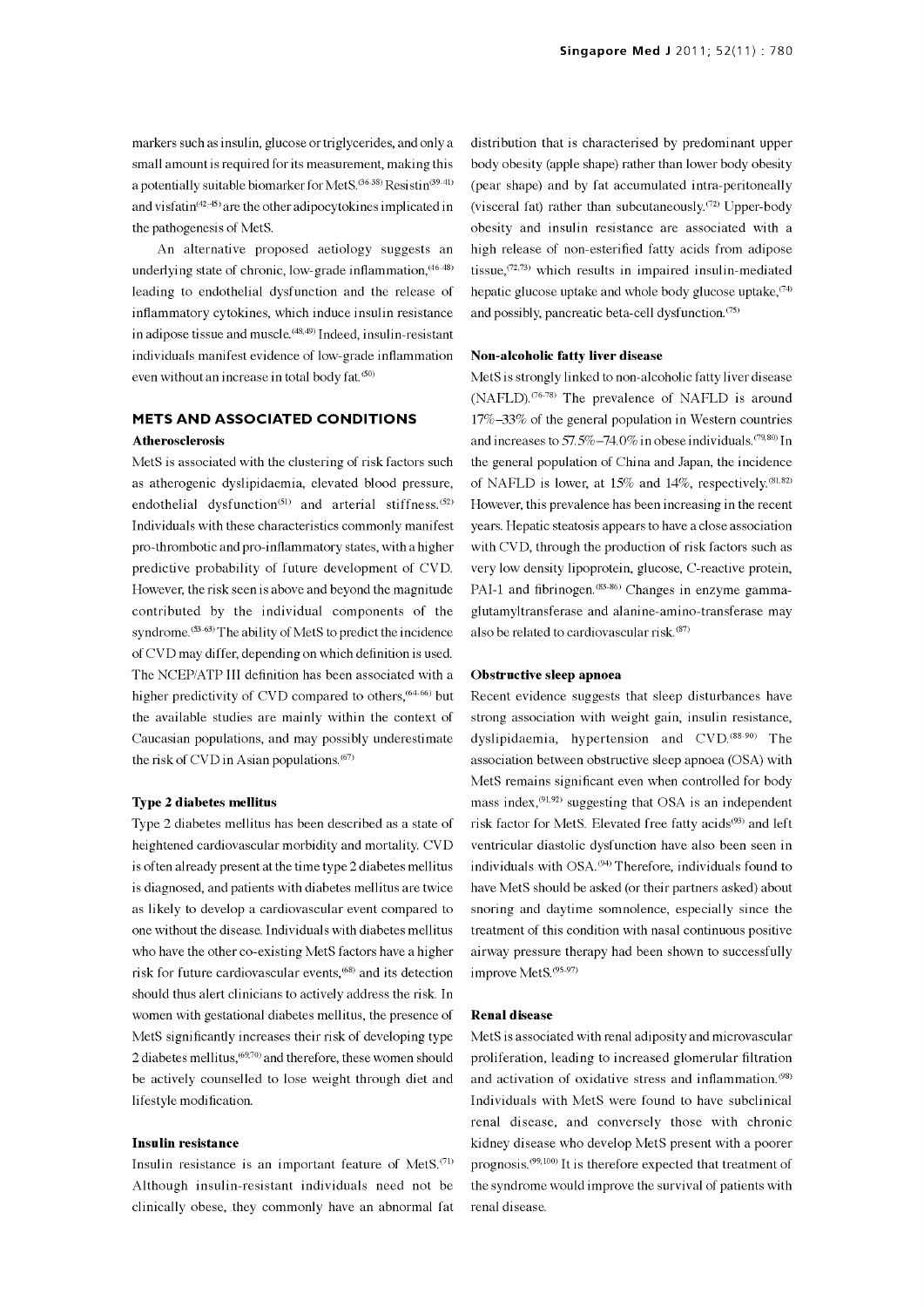markers such as insulin, glucose or triglycerides, and only a small amount is required for its measurement, making this a potentially suitable biomarker for MetS.  $(36-38)$  Resistin $(39-41)$ and visfatin $(42-45)$  are the other adipocytokines implicated in the pathogenesis of MetS.

An alternative proposed aetiology suggests an underlying state of chronic, low-grade inflammation,<sup>46-48)</sup> leading to endothelial dysfunction and the release of inflammatory cytokines, which induce insulin resistance in adipose tissue and muscle.<sup>(48,49)</sup> Indeed, insulin-resistant individuals manifest evidence of low-grade inflammation even without an increase in total body fat.<sup>(50)</sup>

## METS AND ASSOCIATED CONDITIONS **Atherosclerosis**

MetS is associated with the clustering of risk factors such as atherogenic dyslipidaemia, elevated blood pressure, endothelial dysfunction<sup>(51)</sup> and arterial stiffness.<sup>(52)</sup> Individuals with these characteristics commonly manifest pro -thrombotic and pro -inflammatory states, with a higher predictive probability of future development of CVD. However, the risk seen is above and beyond the magnitude contributed by the individual components of the syndrome.  $(53-63)$  The ability of MetS to predict the incidence of CVD may differ, depending on which definition is used. The NCEP/ATP III definition has been associated with a higher predictivity of CVD compared to others,<sup>(64-66)</sup> but the available studies are mainly within the context of Caucasian populations, and may possibly underestimate the risk of CVD in Asian populations. $^{(67)}$ 

#### Type 2 diabetes mellitus

Type 2 diabetes mellitus has been described as a state of heightened cardiovascular morbidity and mortality. CVD is often already present at the time type 2 diabetes mellitus is diagnosed, and patients with diabetes mellitus are twice as likely to develop a cardiovascular event compared to one without the disease. Individuals with diabetes mellitus who have the other co -existing MetS factors have a higher risk for future cardiovascular events,(68) and its detection should thus alert clinicians to actively address the risk. In women with gestational diabetes mellitus, the presence of MetS significantly increases their risk of developing type 2 diabetes mellitus,(6970) and therefore, these women should be actively counselled to lose weight through diet and lifestyle modification.

#### Insulin resistance

Insulin resistance is an important feature of MetS.(71) Although insulin -resistant individuals need not be clinically obese, they commonly have an abnormal fat distribution that is characterised by predominant upper body obesity (apple shape) rather than lower body obesity (pear shape) and by fat accumulated intra-peritoneally (visceral fat) rather than subcutaneously.<sup> $(72)$ </sup> Upper-body obesity and insulin resistance are associated with a high release of non-esterified fatty acids from adipose tissue, $(72,73)$  which results in impaired insulin-mediated hepatic glucose uptake and whole body glucose uptake,  $(74)$ and possibly, pancreatic beta -cell dysfunction. (75)

#### Non-alcoholic fatty liver disease

MetS is strongly linked to non-alcoholic fatty liver disease (NAFLD).<sup>(76-78)</sup> The prevalence of NAFLD is around 17%-33% of the general population in Western countries and increases to  $57.5\% -74.0\%$  in obese individuals.<sup> $(79,80)$ </sup> In the general population of China and Japan, the incidence of NAFLD is lower, at  $15\%$  and  $14\%$ , respectively.<sup>(81,82)</sup> However, this prevalence has been increasing in the recent years. Hepatic steatosis appears to have a close association with CVD, through the production of risk factors such as very low density lipoprotein, glucose, C -reactive protein, PAI-1 and fibrinogen.<sup>(83-86)</sup> Changes in enzyme gammaglutamyltransferase and alanine-amino-transferase may also be related to cardiovascular risk. (87)

#### Obstructive sleep apnoea

Recent evidence suggests that sleep disturbances have strong association with weight gain, insulin resistance, dyslipidaemia, hypertension and CVD.<sup>(88-90)</sup> The association between obstructive sleep apnoea (OSA) with MetS remains significant even when controlled for body mass index. $(91.92)$  suggesting that OSA is an independent risk factor for MetS. Elevated free fatty acids<sup>(93)</sup> and left ventricular diastolic dysfunction have also been seen in individuals with OSA. (94) Therefore, individuals found to have MetS should be asked (or their partners asked) about snoring and daytime somnolence, especially since the treatment of this condition with nasal continuous positive airway pressure therapy had been shown to successfully improve MetS. (95-97)

#### Renal disease

MetS is associated with renal adiposity and microvascular proliferation, leading to increased glomerular filtration and activation of oxidative stress and inflammation.'98' Individuals with MetS were found to have subclinical renal disease, and conversely those with chronic kidney disease who develop MetS present with a poorer prognosis.<sup> $(99,100)$ </sup> It is therefore expected that treatment of the syndrome would improve the survival of patients with renal disease.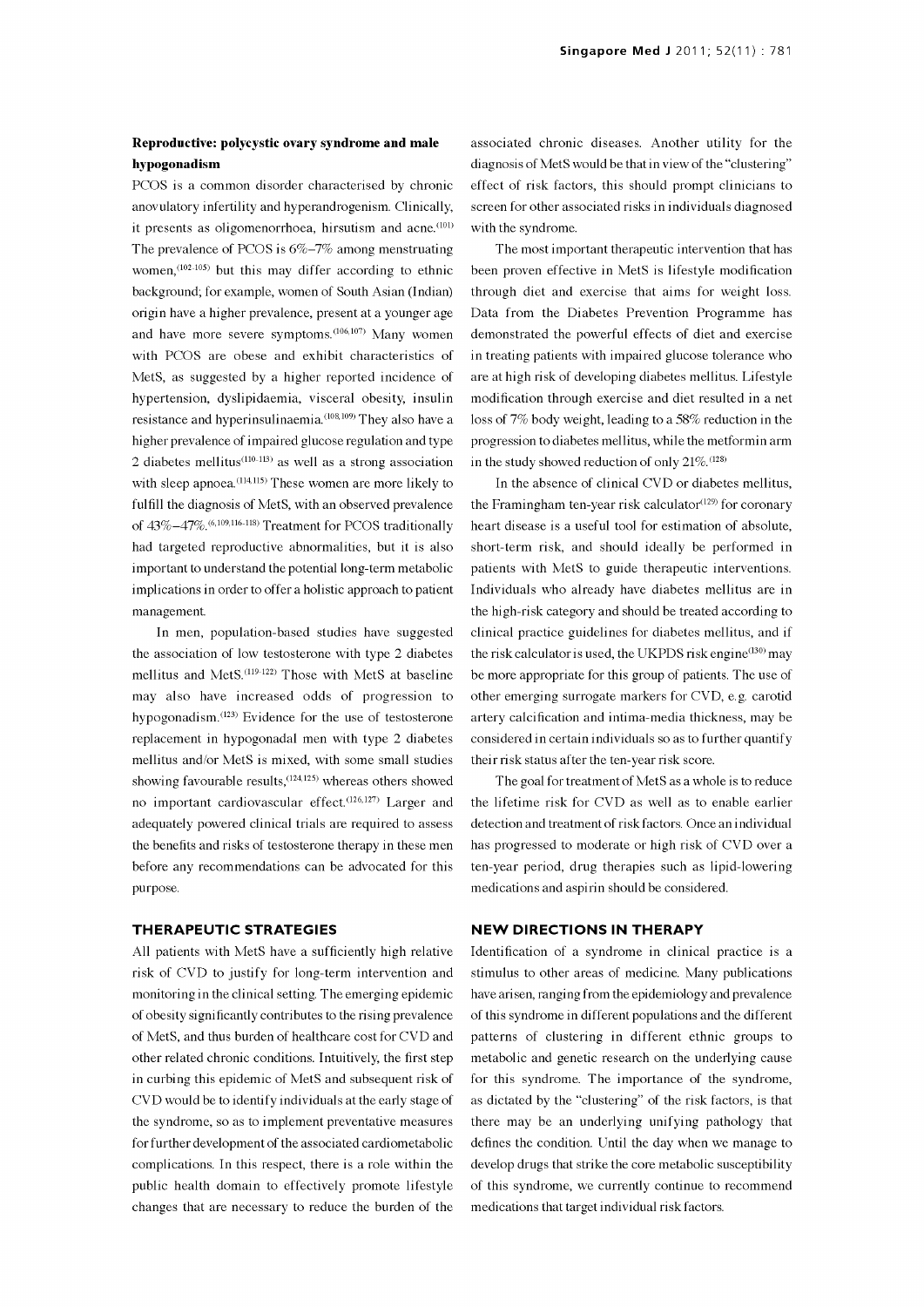## Reproductive: polycystic ovary syndrome and male hypogonadism

PCOS is a common disorder characterised by chronic anovulatory infertility and hyperandrogenism. Clinically, it presents as oligomenorrhoea, hirsutism and acne.<sup>(101)</sup> The prevalence of PCOS is 6%-7% among menstruating women,  $(102-105)$  but this may differ according to ethnic background; for example, women of South Asian (Indian) origin have a higher prevalence, present at a younger age and have more severe symptoms.  $(106, 107)$  Many women demonstrated the powerful effects of diet and exercise with PCOS are obese and exhibit characteristics of in treating patients with impaired glucose tolerance who MetS, as suggested by a higher reported incidence of hypertension, dyslipidaemia, visceral obesity, insulin resistance and hyperinsulinaemia.<sup>(108,109)</sup> They also have a higher prevalence of impaired glucose regulation and type 2 diabetes mellitus<sup> $(110-113)$ </sup> as well as a strong association with sleep apnoea.<sup>(114,115)</sup> These women are more likely to fulfill the diagnosis of MetS, with an observed prevalence of 43%-47%.(6,109,116-118) Treatment for PCOS traditionally had targeted reproductive abnormalities, but it is also important to understand the potential long-term metabolic implications in order to offer a holistic approach to patient management.

In men, population -based studies have suggested the association of low testosterone with type 2 diabetes mellitus and MetS.(119-122) Those with MetS at baseline may also have increased odds of progression to hypogonadism.(123) Evidence for the use of testosterone replacement in hypogonadal men with type 2 diabetes mellitus and/or MetS is mixed, with some small studies showing favourable results,<sup>(124,125)</sup> whereas others showed no important cardiovascular effect.<sup>(126,127)</sup> Larger and adequately powered clinical trials are required to assess the benefits and risks of testosterone therapy in these men before any recommendations can be advocated for this purpose.

## THERAPEUTIC STRATEGIES

All patients with MetS have a sufficiently high relative risk of CVD to justify for long-term intervention and monitoring in the clinical setting. The emerging epidemic of obesity significantly contributes to the rising prevalence of MetS, and thus burden of healthcare cost for CVD and other related chronic conditions. Intuitively, the first step in curbing this epidemic of MetS and subsequent risk of CVD would be to identify individuals at the early stage of the syndrome, so as to implement preventative measures for further development of the associated cardiometabolic complications. In this respect, there is a role within the public health domain to effectively promote lifestyle changes that are necessary to reduce the burden of the

associated chronic diseases. Another utility for the diagnosis of MetS would be that in view of the "clustering" effect of risk factors, this should prompt clinicians to screen for other associated risks in individuals diagnosed with the syndrome.

The most important therapeutic intervention that has been proven effective in MetS is lifestyle modification through diet and exercise that aims for weight loss. Data from the Diabetes Prevention Programme has demonstrated the powerful effects of diet and exercise are at high risk of developing diabetes mellitus. Lifestyle modification through exercise and diet resulted in a net loss of 7% body weight, leading to a 58% reduction in the progression to diabetes mellitus, while the metformin arm in the study showed reduction of only  $21\%$ .  $(128)$ 

In the absence of clinical CVD or diabetes mellitus, the Framingham ten-year risk calculator $(129)$  for coronary heart disease is a useful tool for estimation of absolute, short-term risk, and should ideally be performed in patients with MetS to guide therapeutic interventions. Individuals who already have diabetes mellitus are in the high-risk category and should be treated according to clinical practice guidelines for diabetes mellitus, and if the risk calculator is used, the UKPDS risk engine<sup>(130)</sup> may be more appropriate for this group of patients. The use of other emerging surrogate markers for CVD, e.g. carotid artery calcification and intima-media thickness, may be considered in certain individuals so as to further quantify their risk status after the ten-year risk score.

The goal for treatment of MetS as a whole is to reduce the lifetime risk for CVD as well as to enable earlier detection and treatment of risk factors. Once an individual has progressed to moderate or high risk of CVD over a ten-year period, drug therapies such as lipid -lowering medications and aspirin should be considered.

## NEW DIRECTIONS IN THERAPY

Identification of a syndrome in clinical practice is a stimulus to other areas of medicine. Many publications have arisen, ranging from the epidemiology and prevalence of this syndrome in different populations and the different patterns of clustering in different ethnic groups to metabolic and genetic research on the underlying cause for this syndrome. The importance of the syndrome, as dictated by the "clustering" of the risk factors, is that there may be an underlying unifying pathology that defines the condition. Until the day when we manage to develop drugs that strike the core metabolic susceptibility of this syndrome, we currently continue to recommend medications that target individual risk factors.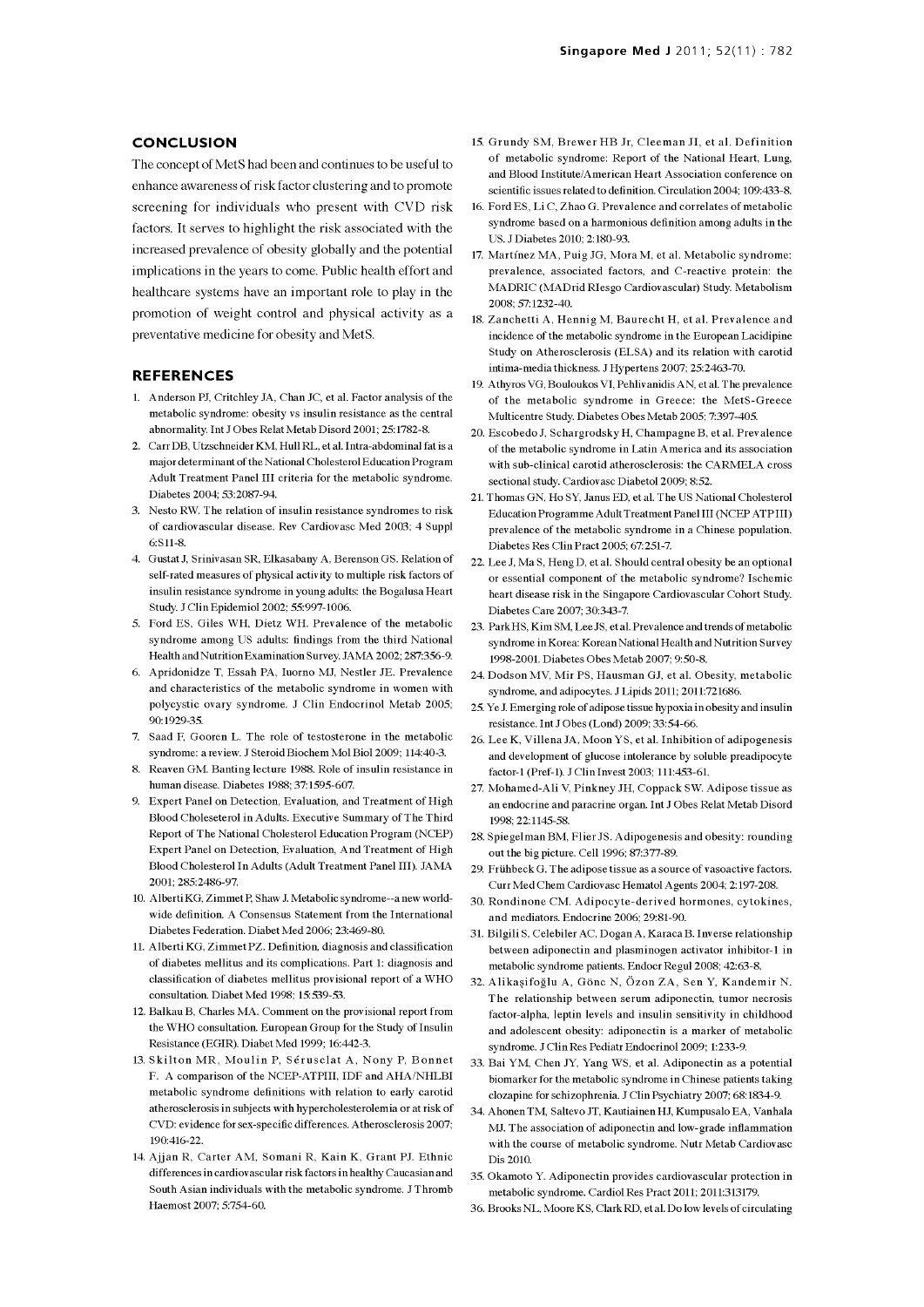#### **CONCLUSION**

The concept of MetS had been and continues to be useful to enhance awareness of risk factor clustering and to promote screening for individuals who present with CVD risk factors. It serves to highlight the risk associated with the increased prevalence of obesity globally and the potential implications in the years to come. Public health effort and healthcare systems have an important role to play in the promotion of weight control and physical activity as a preventative medicine for obesity and MetS.

#### REFERENCES

- 1. Anderson PJ, Critchley JA, Chan JC, et al. Factor analysis of the metabolic syndrome: obesity vs insulin resistance as the central abnormality. Int J Obes Relat Metab Disord 2001; 25:1782-8.
- 2. Carr DB, Utzschneider KM, Hull RL, et al. Intra-abdominal fat is a major determinant of the National Cholesterol Education Program Adult Treatment Panel III criteria for the metabolic syndrome. Diabetes 2004; 53:2087-94.
- 3. Nesto RW. The relation of insulin resistance syndromes to risk of cardiovascular disease. Rev Cardiovasc Med 2003; 4 Suppl 6:S11-8.
- 4. Gustat J, Srinivasan SR, Elkasabany A, Berenson GS. Relation of self-rated measures of physical activity to multiple risk factors of insulin resistance syndrome in young adults: the Bogalusa Heart Study. J Clin Epidemiol 2002; 55:997-1006.
- 5. Ford ES, Giles WH, Dietz WH. Prevalence of the metabolic syndrome among US adults: findings from the third National Health and Nutrition Examination Survey. JAMA 2002; 287:356-9.
- 6. Apridonidze T, Essah PA, Iuorno MJ, Nestler JE. Prevalence and characteristics of the metabolic syndrome in women with polycystic ovary syndrome. J Clin Endocrinol Metab 2005; 90:1929-35.
- 7. Saad F, Gooren L. The role of testosterone in the metabolic syndrome: a review. J Steroid Biochem Mol Biol 2009; 114:40-3.
- 8. Reaven GM. Banting lecture 1988. Role of insulin resistance in human disease. Diabetes 1988; 37:1595-607.
- 9. Expert Panel on Detection, Evaluation, and Treatment of High Blood Choleseterol in Adults. Executive Summary of The Third Report of The National Cholesterol Education Program (NCEP) Expert Panel on Detection, Evaluation, And Treatment of High Blood Cholesterol In Adults (Adult Treatment Panel III). JAMA 2001; 285:2486-97.
- 10. Alberti KG, Zimmet P, Shaw J. Metabolic syndrome--a new worldwide definition. A Consensus Statement from the International Diabetes Federation. Diabet Med 2006; 23:469-80.
- 11. Alberti KG, Zimmet PZ. Definition, diagnosis and classification of diabetes mellitus and its complications. Part 1: diagnosis and classification of diabetes mellitus provisional report of a WHO consultation. Diabet Med 1998; 15:539-53.
- 12. Balkan B, Charles MA. Comment on the provisional report from the WHO consultation. European Group for the Study of Insulin Resistance (EGIR). Diabet Med 1999; 16:442-3.
- 13. Skilton MR, Moulin P, Serusclat A, Nony P, Bonnet F. A comparison of the NCEP-ATPIII, IDF and AHA/NHLBI metabolic syndrome definitions with relation to early carotid atherosclerosis in subjects with hypercholesterolemia or at risk of CVD: evidence for sex -specific differences. Atherosclerosis 2007; 190:416-22.
- 14. Ajjan R, Carter AM, Somani R, Kain K, Grant PJ, Ethnic differences in cardiovascular risk factors in healthy Caucasian and South Asian individuals with the metabolic syndrome. J Thromb Haemost 2007; 5:754-60.
- 15. Grundy SM, Brewer HB Jr, Cleeman JI, et al. Definition of metabolic syndrome: Report of the National Heart, Lung, and Blood Institute/American Heart Association conference on scientific issues related to definition. Circulation 2004; 109:433-8.
- 16. Ford ES, Li C, Zhao G. Prevalence and correlates of metabolic syndrome based on a harmonious definition among adults in the US. J Diabetes 2010; 2:180-93.
- 17. Martinez MA, Puig JG, Mora M, et al. Metabolic syndrome: prevalence, associated factors, and C-reactive protein: the MADRIC (MADrid Rlesgo Cardiovascular) Study. Metabolism 2008; 57:1232-40.
- 18. Zanchetti A, Hennig M, Baurecht H, et al. Prevalence and incidence of the metabolic syndrome in the European Lacidipine Study on Atherosclerosis (ELSA) and its relation with carotid intima-media thickness. J Hypertens 2007; 25:2463-70.
- 19. Athyros VG, Bouloukos VI, Pehlivanidis AN, et al. The prevalence of the metabolic syndrome in Greece: the MetS-Greece Multicentre Study. Diabetes Obes Metab 2005; 7:397-405.
- 20. Escobedo J, Schargrodsky H, Champagne B, et al. Prevalence of the metabolic syndrome in Latin America and its association with sub -clinical carotid atherosclerosis: the CARMELA cross sectional study. Cardiovasc Diabetol 2009; 8:52.
- 21. Thomas GN, Ho SY, Janus ED, et al. The US National Cholesterol Education Programme Adult Treatment Panel III (NCEP ATP III) prevalence of the metabolic syndrome in a Chinese population. Diabetes Res Clin Pract 2005; 67:251-7.
- 22. Lee J, Ma S, Heng D, et al. Should central obesity be an optional or essential component of the metabolic syndrome? Ischemic heart disease risk in the Singapore Cardiovascular Cohort Study. Diabetes Care 2007; 30:343-7.
- 23. Park HS, Kim SM, Lee JS, et al. Prevalence and trends of metabolic syndrome in Korea: Korean National Health and Nutrition Survey 1998-2001. Diabetes Obes Metab 2007; 9:50-8.
- 24. Dodson MV, Mir PS, Hausman GJ, et al. Obesity, metabolic syndrome, and adipocytes. J Lipids 2011; 2011:721686.
- 25. Ye J. Emerging role of adipose tissue hypoxia in obesity and insulin resistance. Int J Obes (Lond) 2009; 33:54-66.
- 26. Lee K, Villena JA, Moon YS, et al. Inhibition of adipogenesis and development of glucose intolerance by soluble preadipocyte factor -1 (Pref-1). J Clin Invest 2003; 111:453-61.
- 27. Mohamed -Ali V, Pinkney JH, Coppack SW. Adipose tissue as an endocrine and paracrine organ. Int J Obes Relat Metab Disord 1998; 22:1145-58.
- 28. Spiegelman BM, Flier JS. Adipogenesis and obesity: rounding out the big picture. Cell 1996; 87:377-89.
- 29. Frithbeck G. The adipose tissue as a source of vasoactive factors. Curr Med Chem Cardiovasc Hematol Agents 2004; 2:197-208.
- 30. Rondinone CM. Adipocyte-derived hormones, cytokines, and mediators. Endocrine 2006; 29:81-90.
- 31. Bilgili S, Celebiler AC, Dogan A, Karaca B. Inverse relationship between adiponectin and plasminogen activator inhibitor-1 in metabolic syndrome patients. Endocr Regul 2008; 42:63-8.
- 32. Alikasifoglu A, Gone N, Ozon ZA, Sen Y, Kandemir N. The relationship between serum adiponectin, tumor necrosis factor -alpha, leptin levels and insulin sensitivity in childhood and adolescent obesity: adiponectin is a marker of metabolic syndrome. J Clin Res Pediatr Endocrinol 2009; 1:233-9.
- 33. Bai YM, Chen JY, Yang WS, et al. Adiponectin as a potential biomarker for the metabolic syndrome in Chinese patients taking clozapine for schizophrenia. J Clin Psychiatry 2007; 68:1834-9.
- 34. Ahonen TM, Saltevo JT, Kautiainen HJ, Kumpusalo EA, Vanhala MJ. The association of adiponectin and low-grade inflammation with the course of metabolic syndrome. Nutr Metab Cardiovasc Dis 2010.
- 35. Okamoto Y. Adiponectin provides cardiovascular protection 35. Okamoto Y. Adiponectin provides cardiovascular protection in<br>metabolic syndrome. Cardiol Res Pract 2011; 2011:313179.<br>36. Brooks NL, Moore KS, Clark RD, et al. Do low levels of circulating
-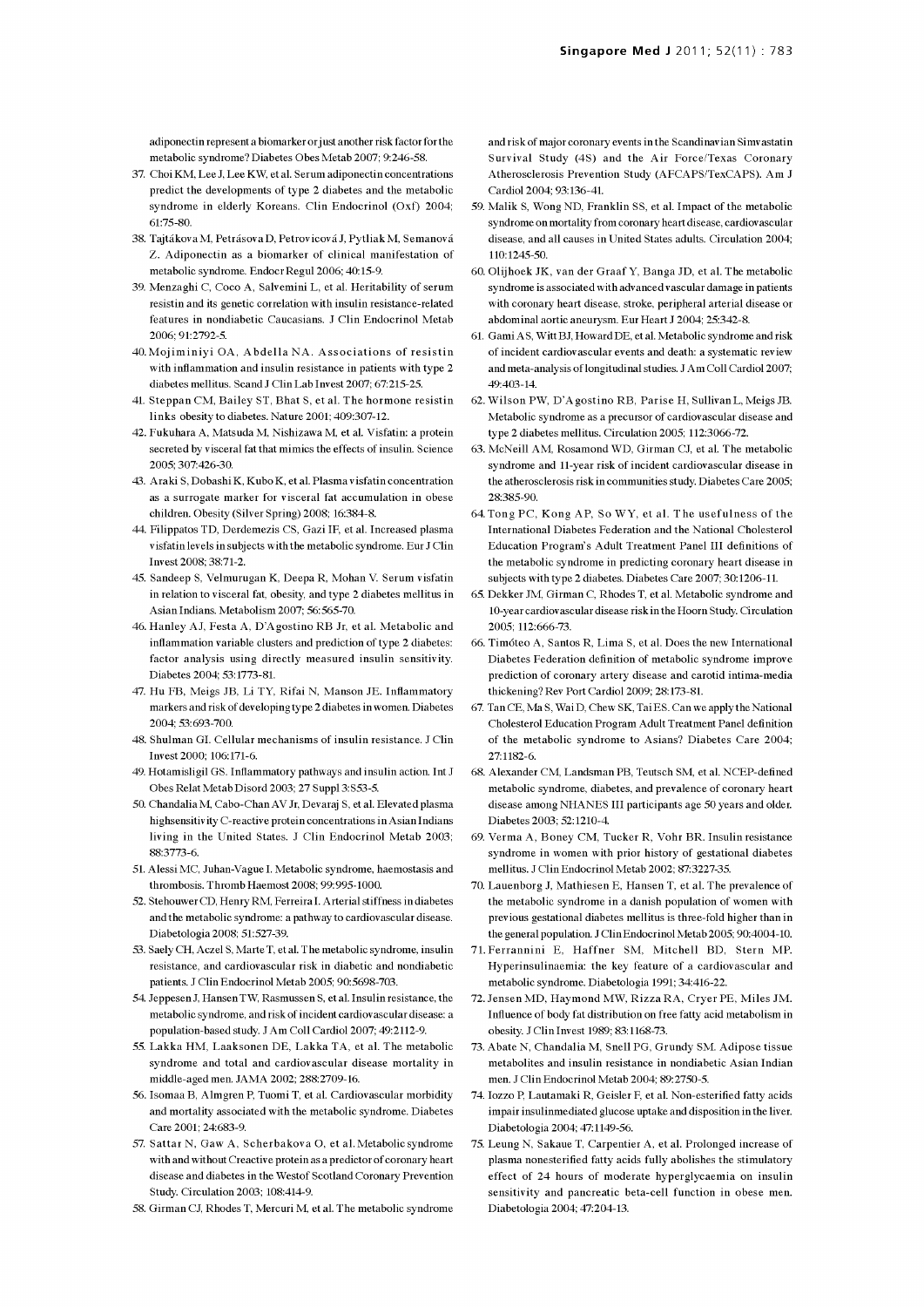adiponectin represent a biomarker or just another risk factor for the metabolic syndrome? Diabetes Obes Metab 2007; 9:246-58.

- 37. Choi KM, Lee J, Lee KW, et al. Serum adiponectin concentrations predict the developments of type 2 diabetes and the metabolic syndrome in elderly Koreans. Clin Endocrinol (Oxf) 2004; 61:75-80.
- 38. Tajtákova M, Petrásova D, Petrovicová J, Pytliak M, Semanová Z. Adiponectin as a biomarker of clinical manifestation of metabolic syndrome. Endocr Regul 2006; 40:15-9.
- 39. Menzaghi C, Coco A, Salvemini L, et al. Heritability of serum resistin and its genetic correlation with insulin resistance -related features in nondiabetic Caucasians. J Clin Endocrinol Metab 2006; 91:2792-5.
- 40.Mojiminiyi OA, Abdella NA. Associations of resistin with inflammation and insulin resistance in patients with type 2 diabetes mellitus. Scand J Clin Lab Invest 2007; 67:215-25.
- 41. Steppan CM, Bailey ST, Bhat S, et al. The hormone resistin links obesity to diabetes. Nature 2001; 409:307-12.
- 42. Fukuhara A, Matsuda M, Nishizawa M, et al. Visfatin: a protein secreted by visceral fat that mimics the effects of insulin. Science 2005; 307:426-30.
- 43. Araki S, Dobashi K, Kubo K, et al. Plasma v isfatin concentration as a surrogate marker for visceral fat accumulation in obese children. Obesity (Silver Spring) 2008; 16:384-8.
- 44. Filippatos TD, Derdemezis CS, Gazi IF, et al. Increased plasma visfatin levels in subjects with the metabolic syndrome. Eur J Clin Invest 2008; 38:71-2.
- 45. Sandeep S, Velmurugan K, Deepa R, Mohan V. Serum visfatin in relation to visceral fat, obesity, and type 2 diabetes mellitus in Asian Indians. Metabolism 2007; 56:565-70.
- 46. Hanley AL Festa A, D'Agostino RB Jr, et al. Metabolic and inflammation variable clusters and prediction of type 2 diabetes: factor analysis using directly measured insulin sensitivity. Diabetes 2004; 53:1773-81.
- 47. Hu FB, Meigs JB, Li TY, Rifai N, Manson JE. Inflammatory markers and risk of developing type 2 diabetes in women. Diabetes 2004; 53:693-700.
- 48. Shulman GI. Cellular mechanisms of insulin resistance. J Clin Invest 2000; 106:171-6.
- 49. Hotamisligil GS. Inflammatory pathways and insulin action. Int J Obes Relat Metab Disord 2003; 27 Suppl 3:S53-5.
- 50. Chandalia M, Cabo -Chan AV Jr, Devaraj S, et al. Elevated plasma highsensitivity C-reactive protein concentrations in Asian Indians living in the United States. J Clin Endocrinol Metab 2003; 88:3773-6.
- 51. Alessi MC, Juhan-Vague I. Metabolic syndrome, haemostasis and thrombosis. Thromb Haemost 2008; 99:995-1000.
- 52. Stehouwer CD, Henry RM, Ferreira I. Arterial stiffness in diabetes and the metabolic syndrome: a pathway to cardiovascular disease. Diabetologia 2008; 51:527-39.
- 53. Saely CH, Aczel S, Marte T, et al. The metabolic syndrome, insulin resistance, and cardiovascular risk in diabetic and nondiabetic patients. J Clin Endocrinol Metab 2005; 90:5698-703.
- 54. Jeppesen J, Hansen TW, Rasmussen S, et al. Insulin resistance, the metabolic syndrome, and risk of incident cardiovascular disease: a population -based study. J Am Coll Cardiol 2007; 49:2112-9.
- 55. Lakka HM, Laaksonen DE, Lakka TA, et al. The metabolic syndrome and total and cardiovascular disease mortality in middle-aged men. JAMA 2002; 288:2709-16.
- 56. Isomaa B, Almgren P, Tuomi T, et al. Cardiovascular morbidity and mortality associated with the metabolic syndrome. Diabetes Care 2001; 24:683-9.
- 57. Sattar N, Gaw A, Scherbakova O, et al. Metabolic syndrome with and without Creactive protein as a predictor of coronary heart disease and diabetes in the Westof Scotland Coronary Prevention Study. Circulation 2003; 108:414-9.
- 58. Girman CJ, Rhodes T, Mercuri M, et al. The metabolic syndrome

and risk of major coronary events in the Scandinavian Simvastatin Survival Study (4S) and the Air Force/Texas Coronary Atherosclerosis Prevention Study (AFCAPS/TexCAPS). Am J Cardiol 2004; 93:136-41.

- 59. Malik S, Wong ND, Franklin SS, et al. Impact of the metabolic syndrome on mortality from coronary heart disease, cardiovascular disease, and all causes in United States adults. Circulation 2004; 110:1245-50.
- 60. Olij hock JK, van der Graaf Y, Banga JD, et al. The metabolic syndrome is associated with advanced vascular damage in patients with coronary heart disease, stroke, peripheral arterial disease or abdominal aortic aneurysm. Eur Heart J 2004; 25:342-8.
- 61. Gami AS, Witt BJ, Howard DE, et al. Metabolic syndrome and risk of incident cardiovascular events and death: a systematic review and meta -analysis of longitudinal studies. J Am Coll Cardiol 2007; 49:403-14.
- 62. Wilson PW, D'Agostino RB, Parise H, Sullivan L, Meigs JB. Metabolic syndrome as a precursor of cardiovascular disease and type 2 diabetes mellitus. Circulation 2005; 112:3066-72.
- 63. McNeill AM, Rosamond WD, Girman CJ, et al. The metabolic syndrome and 11 -year risk of incident cardiovascular disease in the atherosclerosis risk in communities study. Diabetes Care 2005; 28:385-90.
- 64. Tong PC, Kong AP, So WY, et al. The usefulness of the International Diabetes Federation and the National Cholesterol Education Program's Adult Treatment Panel III definitions of the metabolic syndrome in predicting coronary heart disease in subjects with type 2 diabetes. Diabetes Care 2007; 30:1206-11.
- 65. Dekker JM, Girman C, Rhodes T, et al. Metabolic syndrome and 10 -year cardiovascular disease risk in the Hoorn Study. Circulation 2005; 112:666-73.
- 66. Timoteo A, Santos R, Lima S, et al. Does the new International Diabetes Federation definition of metabolic syndrome improve prediction of coronary artery disease and carotid intima-media thickening? Rev Port Cardiol 2009; 28:173-81.
- 67. Tan CE, Ma S, Wai D, Chew SK, Tai ES. Can we apply the National Cholesterol Education Program Adult Treatment Panel definition of the metabolic syndrome to Asians? Diabetes Care 2004; 27:1182-6.
- 68. Alexander CM, Landsman PB, Teutsch SM, et al. NCEP-defined metabolic syndrome, diabetes, and prevalence of coronary heart disease among NHANES III participants age 50 years and older. Diabetes 2003; 52:1210-4.
- 69. Ver ma A, Boney CM, Tucker R, Vohr BR. Insulin resistance syndrome in women with prior history of gestational diabetes mellitus. J Clin Endocrinol Metab 2002; 87:3227-35.
- 70. Lauenborg J, Mathiesen E, Hansen T, et al. The prevalence of the metabolic syndrome in a danish population of women with previous gestational diabetes mellitus is three -fold higher than in the general population. J Clin Endocrinol Metab 2005; 90:4004-10.
- 71. Ferrannini E, Haffner SM, Mitchell BD, Stern MP. Hyperinsulinaemia: the key feature of a cardiovascular and metabolic syndrome. Diabetologia 1991; 34:416-22.
- 72. Jensen MD, Haymond MW, Rizza RA, Cryer PE, Miles JM. Influence of body fat distribution on free fatty acid metabolism in obesity. J Clin Invest 1989; 83:1168-73.
- 73. Abate N, Chandalia M, Snell PG, Grundy SM. Adipose tissue metabolites and insulin resistance in nondiabetic Asian Indian men. J Clin Endocrinol Metab 2004; 89:2750-5.
- 74. Iozzo P, Lautamaki R, Geisler F, et al. Non-esterified fatty acids impair insulinmediated glucose uptake and disposition in the liver. Diabetologia 2004; 47:1149-56.
- 75. Leung N, Sakaue T, Carpentier A, et al. Prolonged increase of plasma nonesterified fatty acids fully abolishes the stimulatory effect of 24 hours of moderate hyperglycaemia on insulin sensitivity and pancreatic beta-cell function in obese men. Diabetologia 2004; 47:204-13.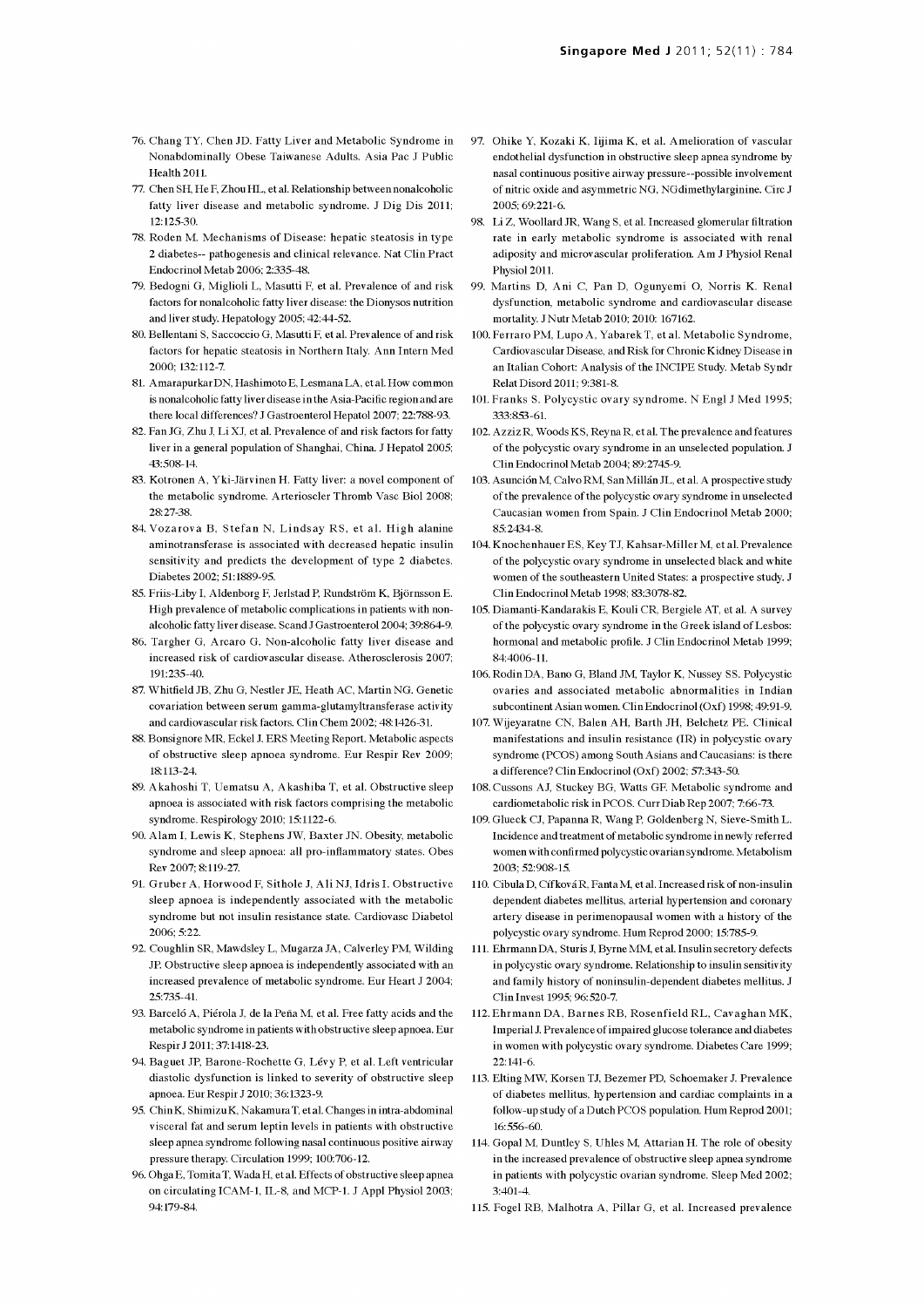- 76. Chang TY, Chen JD. Fatty Liver and Metabolic Syndrome in Nonabdominally Obese Taiwanese Adults. Asia Pac J Public Health 2011.
- 77. Chen SH, He F, Zhou HL, et al. Relationship between nonalcoholic fatty liver disease and metabolic syndrome. J Dig Dis 2011; 12:125-30.
- 78. Roden M. Mechanisms of Disease: hepatic steatosis in type 2 diabetes-- pathogenesis and clinical relevance. Nat Clin Pract Endocrinol Metab 2006; 2:335-48.
- 79. Bedogni G, Miglioli L, Masutti F, et al. Prevalence of and risk factors for nonalcoholic fatty liver disease: the Dionysos nutrition and liver study. Hepatology 2005; 42:44-52.
- 80. Bellentani S, Saccoccio G, Masutti F, et al. Prevalence of and risk factors for hepatic steatosis in Northern Italy. Ann Intern Med 2000; 132:112-7.
- 81. Amarapurkar DN, Hashimoto E, Lesmana LA, et al. How common is nonalcoholic fatty liver disease in the Asia -Pacific region and are there local differences? J Gastroenterol Hepatol 2007; 22:788-93.
- 82. Fan JG, Zhu J, Li XJ, et al. Prevalence of and risk factors for fatty liver in a general population of Shanghai, China. J Hepatol 2005; 43:508-14.
- 83. Kotronen A, Yki-Jarvinen H. Fatty liver: a novel component of the metabolic syndrome. Arterioscler Thromb Vasc Biol 2008; 28:27-38.
- 84. Vozarova B, Stefan N, Lindsay RS, et al. High alanine aminotransferase is associated with decreased hepatic insulin sensitivity and predicts the development of type 2 diabetes. Diabetes 2002; 51:1889-95.
- 85. Friis-Liby I, Aldenborg F, Jerlstad P, Rundström K, Björnsson E. High prevalence of metabolic complications in patients with non- alcoholic fatty liver disease. Scand J Gastroenterol 2004; 39:864-9.
- 86. Targher G, Arcaro G. Non-alcoholic fatty liver disease and increased risk of cardiovascular disease. Atherosclerosis 2007; 191:235-40.
- 87. Whitfield JB, Zhu G, Nestler JE, Heath AC, Martin NG. Genetic covariation between serum gamma-glutamyltransferase activity and cardiovascular risk factors. Clin Chem 2002; 48:1426-31.
- 88. Bonsignore MR, Eckel J. ERS Meeting Report. Metabolic aspects of obstructive sleep apnoea syndrome. Eur Respir Rev 2009; 18:113-24.
- 89. A kahoshi T, Uematsu A, A kashiba T, et al. Obstructive sleep apnoea is associated with risk factors comprising the metabolic syndrome. Respirology 2010; 15:1122-6.
- 90. Alam I, Lewis K, Stephens JW, Baxter JN. Obesity, metabolic syndrome and sleep apnoea: all pro -inflammatory states. Obes Rev 2007; 8:119-27.
- 91. Gruber A, Horwood F, Sithole J, Ali NJ, Idris I. Obstructive sleep apnoea is independently associated with the metabolic syndrome but not insulin resistance state. Cardiovasc Diabetol 2006; 5:22.
- 92. Coughlin SR, Mawdsley L, Mugarza JA, Calverley PM, Wilding JP. Obstructive sleep apnoea is independently associated with an increased prevalence of metabolic syndrome. Eur Heart J 2004; 25:735-41.
- 93. Barceló A, Piérola J, de la Peña M, et al. Free fatty acids and the metabolic syndrome in patients with obstructive sleep apnoea. Eur Respir J 2011; 37:1418-23.
- 94. Baguet JP, Barone-Rochette G, Lévy P, et al. Left ventricular diastolic dysfunction is linked to severity of obstructive sleep apnoea. Eur Respir J 2010; 36:1323-9.
- 95. Chin K, ShimizuK, Nakamura T, et al. Changes in ntra-abdominal visceral fat and serum leptin levels in patients with obstructive sleep apnea syndrome following nasal continuous positive airway pressure therapy. Circulation 1999; 100:706-12.
- 96. Ohga E, Tomita T, WadaH, et al. Effects of obstructive sleep apnea on circulating ICAM-1, IL -8, and MCP -1. J Appl Physiol 2003; 94:179-84.
- 97. Ohike Y, Kozaki K, Iijima K, et al. Amelioration of vascular endothelial dysfunction in obstructive sleep apnea syndrome by nasal continuous positive airway pressure --possible involvement of nitric oxide and asymmetric NG, NGdimethylarginine. Circ J 2005; 69:221-6.
- 98. Li Z, Woollard JR, Wang S, et al. Increased glomerular filtration rate in early metabolic syndrome is associated with renal adiposity and microvascular proliferation. Am J Physiol Renal Physiol 2011. 99. Martins D, A ni C, Pan D, Ogunyemi 0, Norris K. Renal
- dysfunction, metabolic syndrome and cardiovascular disease mortality. J Nutr Metab 2010; 2010: 167162.
- 100. Ferraro PM, Lupo A, Yabarek T, et al. Metabolic Syndrome, Cardiovascular Disease, and Risk for Chronic Kidney Disease in an Italian Cohort: Analysis of the INCIPE Study. Metab Syndr Relat Disord 2011; 9:381-8.
- 101. Franks S. Polycystic ovary syndrome. N Engl J Med 1995; 333:853-61.
- 102. Azziz R, Woods KS, Reyna R, et al. The prevalence and features of the polycystic ovary syndrome in an unselected population. J Clin Endocrinol Metab 2004; 89:2745-9.
- 103. Asunción M, Calvo RM, San Millán JL, et al. A prospective study of the prevalence of the polycystic ovary syndrome in unselected Caucasian women from Spain. J Clin Endocrinol Metab 2000; 85:2434-8.
- 104. Knochenhauer ES, Key TJ, Kahsar-Miller M, et al. Prevalence of the polycystic ovary syndrome in unselected black and white women of the southeastern United States: a prospective study. J Clin Endocrinol Metab 1998; 83:3078-82.
- 105. Diamanti-Kandarakis E, Kouli CR, Bergiele AT, et al. A survey of the polycystic ovary syndrome in the Greek island of Lesbos: hormonal and metabolic profile. J Clin Endocrinol Metab 1999; 84:4006-11.
- 106. Rodin DA, Bano G, Bland JM, Taylor K, Nussey SS. Polycystic ovaries and associated metabolic abnormalities in Indian subcontinent Asian women. Clin Endocrinol (Oxf) 1998; 49:91-9.
- 107. Wijeyaratne CN, Balen AH, Barth JH, Belchetz PE. Clinical manifestations and insulin resistance (IR) in polycystic ovary syndrome (PCOS) among South Asians and Caucasians: is there a difference? Clin Endocrinol (Oxf) 2002; 57:343-50.
- 108. Cussons AT Stuckey BG, Watts GF. Metabolic syndrome and cardiometabolic risk in PCOS. Curr Diab Rep 2007; 7:66-73.
- 109. Glueck CJ, Papanna R, Wang P, Goldenberg N, Sieve -Smith L. Incidence and treatment of metabolic syndrome in newly referred women with confirmed polycystic ovarian syndrome. Metabolism 2003; 52:908-15.
- 110. Cibula D, Cíf ková R, Fanta M, et al. Increased risk of non-insulin dependent diabetes mellitus, arterial hypertension and coronary artery disease in perimenopausal women with a history of the polycystic ovary syndrome. Hum Reprod 2000; 15:785-9.
- 111. Ehrmann DA, Stuns J, Byrne MM, et al. Insulin secretory defects in polycystic ovary syndrome. Relationship to insulin sensitivity and family history of noninsulin-dependent diabetes mellitus. J Clin Invest 1995; 96:520-7.
- 112. Ehrmann DA, Barnes RB, Rosenfield RL, Cavaghan MK, Imperial J. Prevalence of impaired glucose tolerance and diabetes in women with polycystic ovary syndrome. Diabetes Care 1999; 22:141-6.
- 113. Elting MW, Korsen TJ, Bezemer PD, Schoemaker J. Prevalence of diabetes mellitus, hypertension and cardiac complaints in a follow-up study of a Dutch PCOS population. Hum Reprod 2001; 16:556-60.
- 114. Gopal M, Duntley S, Uhles M, Attarian H. The role of obesity in the increased prevalence of obstructive sleep apnea syndrome in patients with polycystic ovarian syndrome. Sleep Med 2002; 3:401-4.
- 115. Fogel RB, Malhotra A, Pillar G, et al. Increased prevalence